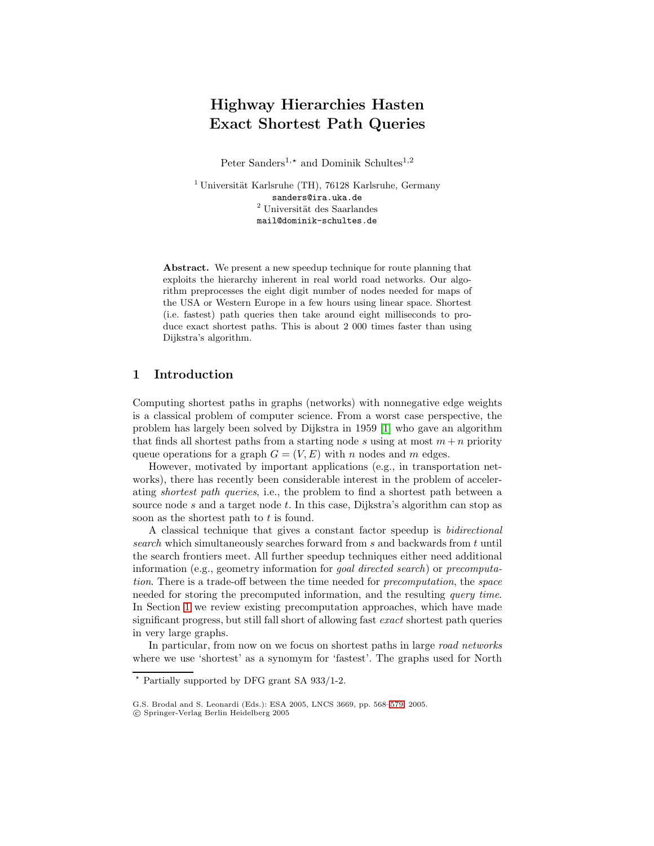# **Highway Hierarchies Hasten Exact Shortest Path Queries**

Peter Sanders<sup>1,\*</sup> and Dominik Schultes<sup>1,2</sup>

 $1$  Universität Karlsruhe (TH), 76128 Karlsruhe, Germany sanders@ira.uka.de  $^2$ Universität des Saarlandes mail@dominik-schultes.de

**Abstract.** We present a new speedup technique for route planning that exploits the hierarchy inherent in real world road networks. Our algorithm preprocesses the eight digit number of nodes needed for maps of the USA or Western Europe in a few hours using linear space. Shortest (i.e. fastest) path queries then take around eight milliseconds to produce exact shortest paths. This is about 2 000 times faster than using Dijkstra's algorithm.

## <span id="page-0-0"></span>**1 Introduction**

Computing shortest paths in graphs (networks) with nonnegative edge weights is a classical problem of computer science. From a worst case perspective, the problem has largely been solved by Dijkstra in 1959 [\[1\]](#page-11-0) who gave an algorithm that finds all shortest paths from a starting node s using at most  $m + n$  priority queue operations for a graph  $G = (V, E)$  with n nodes and m edges.

However, motivated by important applications (e.g., in transportation networks), there has recently been considerable interest in the problem of accelerating *shortest path queries*, i.e., the problem to find a shortest path between a source node  $s$  and a target node  $t$ . In this case, Dijkstra's algorithm can stop as soon as the shortest path to t is found.

A classical technique that gives a constant factor speedup is *bidirectional search* which simultaneously searches forward from s and backwards from t until the search frontiers meet. All further speedup techniques either need additional information (e.g., geometry information for *goal directed search*) or *precomputation*. There is a trade-off between the time needed for *precomputation*, the *space* needed for storing the precomputed information, and the resulting *query time*. In Section [1](#page-0-0) we review existing precomputation approaches, which have made significant progress, but still fall short of allowing fast *exact* shortest path queries in very large graphs.

In particular, from now on we focus on shortest paths in large *road networks* where we use 'shortest' as a synomym for 'fastest'. The graphs used for North

 $*$  Partially supported by DFG grant SA  $933/1-2$ .

G.S. Brodal and S. Leonardi (Eds.): ESA 2005, LNCS 3669, pp. 568[–579,](#page-11-1) 2005. c Springer-Verlag Berlin Heidelberg 2005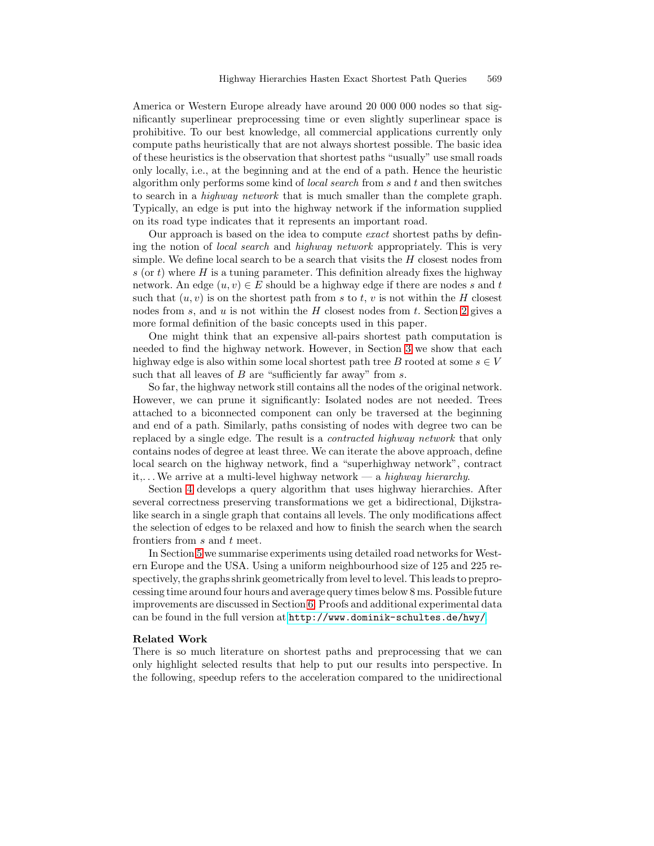America or Western Europe already have around 20 000 000 nodes so that significantly superlinear preprocessing time or even slightly superlinear space is prohibitive. To our best knowledge, all commercial applications currently only compute paths heuristically that are not always shortest possible. The basic idea of these heuristics is the observation that shortest paths "usually" use small roads only locally, i.e., at the beginning and at the end of a path. Hence the heuristic algorithm only performs some kind of *local search* from s and t and then switches to search in a *highway network* that is much smaller than the complete graph. Typically, an edge is put into the highway network if the information supplied on its road type indicates that it represents an important road.

Our approach is based on the idea to compute *exact* shortest paths by defining the notion of *local search* and *highway network* appropriately. This is very simple. We define local search to be a search that visits the  $H$  closest nodes from s (or t) where H is a tuning parameter. This definition already fixes the highway network. An edge  $(u, v) \in E$  should be a highway edge if there are nodes s and t such that  $(u, v)$  is on the shortest path from s to t, v is not within the H closest nodes from  $s$ , and  $u$  is not within the  $H$  closest nodes from  $t$ . Section [2](#page-3-0) gives a more formal definition of the basic concepts used in this paper.

One might think that an expensive all-pairs shortest path computation is needed to find the highway network. However, in Section [3](#page-4-0) we show that each highway edge is also within some local shortest path tree B rooted at some  $s \in V$ such that all leaves of  $B$  are "sufficiently far away" from  $s$ .

So far, the highway network still contains all the nodes of the original network. However, we can prune it significantly: Isolated nodes are not needed. Trees attached to a biconnected component can only be traversed at the beginning and end of a path. Similarly, paths consisting of nodes with degree two can be replaced by a single edge. The result is a *contracted highway network* that only contains nodes of degree at least three. We can iterate the above approach, define local search on the highway network, find a "superhighway network", contract it,. . .We arrive at a multi-level highway network — a *highway hierarchy*.

Section [4](#page-5-0) develops a query algorithm that uses highway hierarchies. After several correctness preserving transformations we get a bidirectional, Dijkstralike search in a single graph that contains all levels. The only modifications affect the selection of edges to be relaxed and how to finish the search when the search frontiers from s and t meet.

In Section [5](#page-7-0) we summarise experiments using detailed road networks for Western Europe and the USA. Using a uniform neighbourhood size of 125 and 225 respectively, the graphs shrink geometrically from level to level. This leads to preprocessing time around four hours and average query times below 8 ms. Possible future improvements are discussed in Section [6.](#page-10-0) Proofs and additional experimental data can be found in the full version at <http://www.dominik-schultes.de/hwy/>.

#### **Related Work**

There is so much literature on shortest paths and preprocessing that we can only highlight selected results that help to put our results into perspective. In the following, speedup refers to the acceleration compared to the unidirectional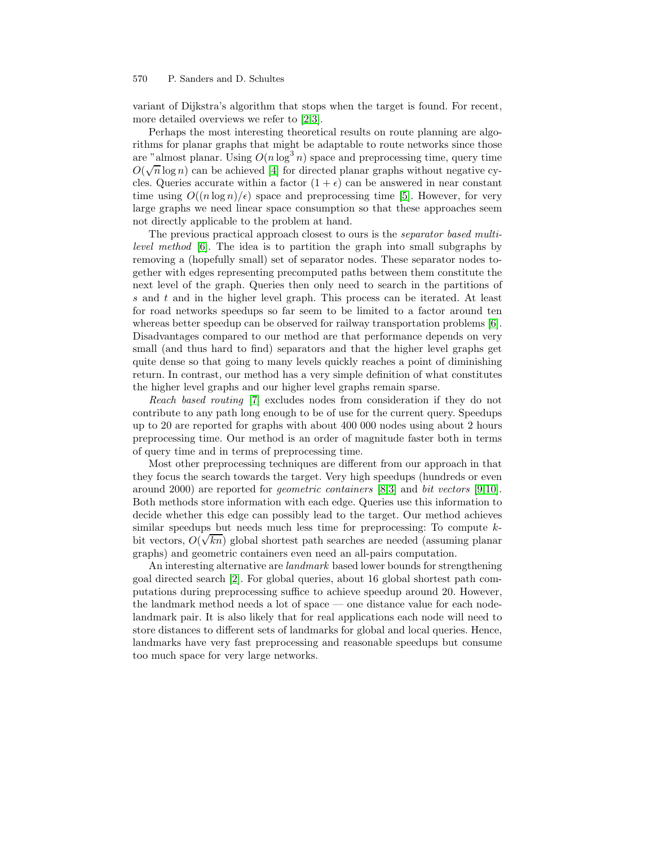variant of Dijkstra's algorithm that stops when the target is found. For recent, more detailed overviews we refer to [\[2](#page-11-2)[,3\]](#page-11-3).

Perhaps the most interesting theoretical results on route planning are algorithms for planar graphs that might be adaptable to route networks since those are "almost planar. Using  $O(n \log^3 n)$  space and preprocessing time, query time are almost planal. Using  $O(n \log n)$  space and preprocessing time, query time  $O(\sqrt{n} \log n)$  can be achieved [\[4\]](#page-11-4) for directed planar graphs without negative cycles. Queries accurate within a factor  $(1 + \epsilon)$  can be answered in near constant time using  $O((n \log n)/\epsilon)$  space and preprocessing time [\[5\]](#page-11-5). However, for very large graphs we need linear space consumption so that these approaches seem not directly applicable to the problem at hand.

The previous practical approach closest to ours is the *separator based multilevel method* [\[6\]](#page-11-6). The idea is to partition the graph into small subgraphs by removing a (hopefully small) set of separator nodes. These separator nodes together with edges representing precomputed paths between them constitute the next level of the graph. Queries then only need to search in the partitions of s and  $t$  and in the higher level graph. This process can be iterated. At least for road networks speedups so far seem to be limited to a factor around ten whereas better speedup can be observed for railway transportation problems [\[6\]](#page-11-6). Disadvantages compared to our method are that performance depends on very small (and thus hard to find) separators and that the higher level graphs get quite dense so that going to many levels quickly reaches a point of diminishing return. In contrast, our method has a very simple definition of what constitutes the higher level graphs and our higher level graphs remain sparse.

*Reach based routing* [\[7\]](#page-11-7) excludes nodes from consideration if they do not contribute to any path long enough to be of use for the current query. Speedups up to 20 are reported for graphs with about 400 000 nodes using about 2 hours preprocessing time. Our method is an order of magnitude faster both in terms of query time and in terms of preprocessing time.

Most other preprocessing techniques are different from our approach in that they focus the search towards the target. Very high speedups (hundreds or even around 2000) are reported for *geometric containers* [\[8](#page-11-8)[,3\]](#page-11-3) and *bit vectors* [\[9,](#page-11-9)[10\]](#page-11-10). Both methods store information with each edge. Queries use this information to decide whether this edge can possibly lead to the target. Our method achieves similar speedups but needs much less time for preprocessing: To compute  $k$ bit vectors,  $O(\sqrt{kn})$  global shortest path searches are needed (assuming planar graphs) and geometric containers even need an all-pairs computation.

An interesting alternative are *landmark* based lower bounds for strengthening goal directed search [\[2\]](#page-11-2). For global queries, about 16 global shortest path computations during preprocessing suffice to achieve speedup around 20. However, the landmark method needs a lot of space — one distance value for each nodelandmark pair. It is also likely that for real applications each node will need to store distances to different sets of landmarks for global and local queries. Hence, landmarks have very fast preprocessing and reasonable speedups but consume too much space for very large networks.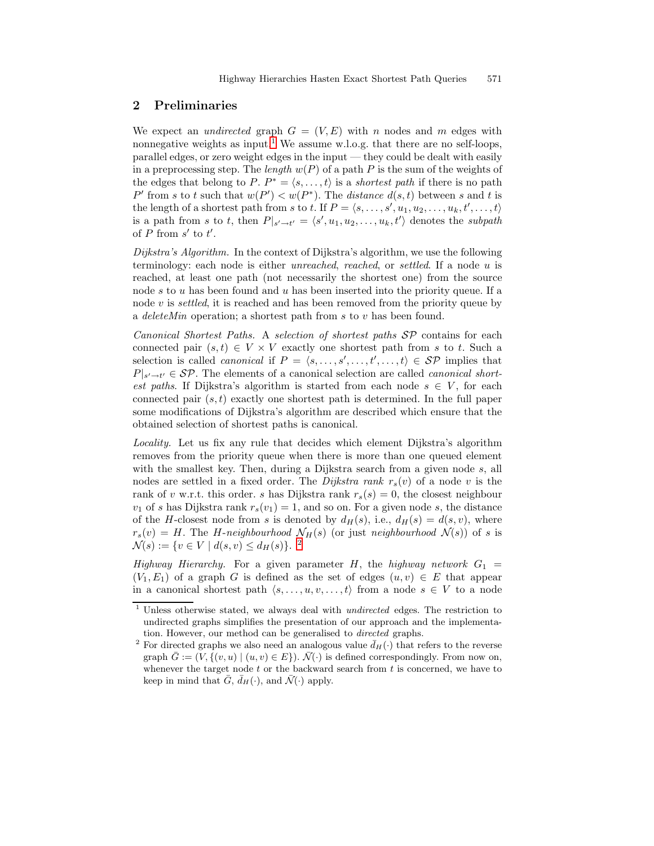# <span id="page-3-0"></span>**2 Preliminaries**

We expect an *undirected* graph  $G = (V, E)$  with n nodes and m edges with nonnegative weights as input.<sup>[1](#page-3-1)</sup> We assume w.l.o.g. that there are no self-loops, parallel edges, or zero weight edges in the input — they could be dealt with easily in a preprocessing step. The *length*  $w(P)$  of a path P is the sum of the weights of the edges that belong to P.  $P^* = \langle s, \ldots, t \rangle$  is a *shortest path* if there is no path P' from s to t such that  $w(P') < w(P^*)$ . The *distance*  $d(s, t)$  between s and t is the length of a shortest path from s to t. If  $P = \langle s, \ldots, s', u_1, u_2, \ldots, u_k, t', \ldots, t \rangle$ is a path from s to t, then  $P|_{s' \to t'} = \langle s', u_1, u_2, \ldots, u_k, t' \rangle$  denotes the *subpath* of  $\overline{P}$  from  $s'$  to  $t'$ .

*Dijkstra's Algorithm.* In the context of Dijkstra's algorithm, we use the following terminology: each node is either *unreached*, *reached*, or *settled*. If a node u is reached, at least one path (not necessarily the shortest one) from the source node s to u has been found and u has been inserted into the priority queue. If a node v is *settled*, it is reached and has been removed from the priority queue by a *deleteMin* operation; a shortest path from s to v has been found.

*Canonical Shortest Paths.* A *selection of shortest paths* SP contains for each connected pair  $(s, t) \in V \times V$  exactly one shortest path from s to t. Such a selection is called *canonical* if  $P = \langle s, \ldots, s', \ldots, t', \ldots, t \rangle \in \mathcal{SP}$  implies that  $P|_{s' \to t'} \in \mathcal{SP}$ . The elements of a canonical selection are called *canonical shortest paths*. If Dijkstra's algorithm is started from each node  $s \in V$ , for each connected pair  $(s, t)$  exactly one shortest path is determined. In the full paper some modifications of Dijkstra's algorithm are described which ensure that the obtained selection of shortest paths is canonical.

*Locality.* Let us fix any rule that decides which element Dijkstra's algorithm removes from the priority queue when there is more than one queued element with the smallest key. Then, during a Dijkstra search from a given node  $s$ , all nodes are settled in a fixed order. The *Dijkstra rank*  $r_s(v)$  of a node v is the rank of v w.r.t. this order. s has Dijkstra rank  $r_s(s) = 0$ , the closest neighbour  $v_1$  of s has Dijkstra rank  $r_s(v_1) = 1$ , and so on. For a given node s, the distance of the H-closest node from s is denoted by  $d_H(s)$ , i.e.,  $d_H(s) = d(s, v)$ , where  $r_s(v) = H$ . The *H*-neighbourhood  $\mathcal{N}_H(s)$  (or just *neighbourhood*  $\mathcal{N}(s)$ ) of s is  $\mathcal{N}(s) := \{ v \in V \mid d(s, v) \leq d_H(s) \}.$ <sup>[2](#page-3-2)</sup>

*Highway Hierarchy*. For a given parameter H, the *highway network*  $G_1$  $(V_1, E_1)$  of a graph G is defined as the set of edges  $(u, v) \in E$  that appear in a canonical shortest path  $\langle s, \ldots, u, v, \ldots, t \rangle$  from a node  $s \in V$  to a node

<span id="page-3-1"></span><sup>1</sup> Unless otherwise stated, we always deal with *undirected* edges. The restriction to undirected graphs simplifies the presentation of our approach and the implementation. However, our method can be generalised to *directed* graphs.

<span id="page-3-2"></span><sup>&</sup>lt;sup>2</sup> For directed graphs we also need an analogous value  $\bar{d}_H(\cdot)$  that refers to the reverse graph  $\bar{G} := (V, \{(v, u) \mid (u, v) \in E\})$ .  $\bar{\mathcal{N}}(\cdot)$  is defined correspondingly. From now on, whenever the target node  $t$  or the backward search from  $t$  is concerned, we have to keep in mind that  $\bar{G}$ ,  $\bar{d}_H(\cdot)$ , and  $\bar{\mathcal{N}}(\cdot)$  apply.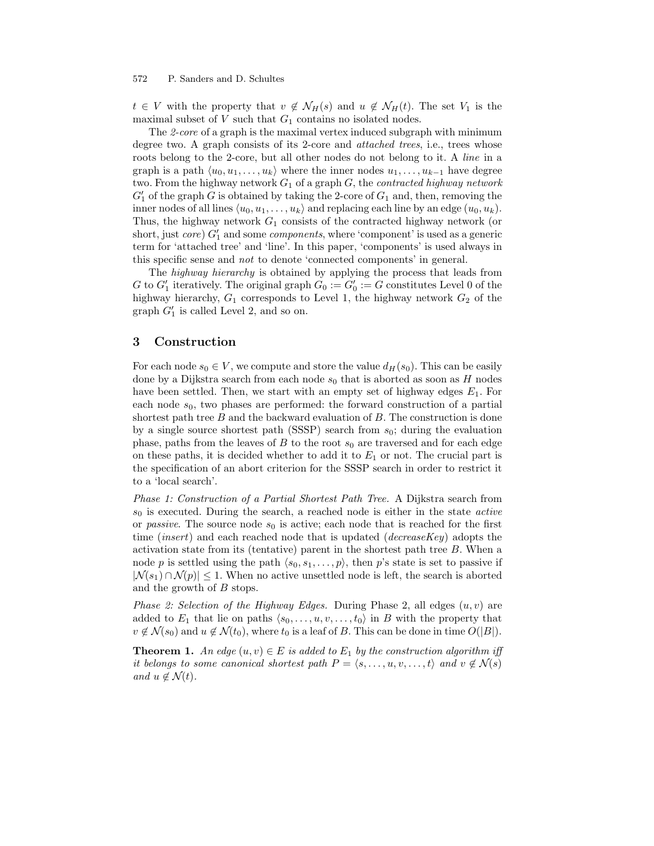$t \in V$  with the property that  $v \notin \mathcal{N}_H(s)$  and  $u \notin \mathcal{N}_H(t)$ . The set  $V_1$  is the maximal subset of  $V$  such that  $G_1$  contains no isolated nodes.

The *2-core* of a graph is the maximal vertex induced subgraph with minimum degree two. A graph consists of its 2-core and *attached trees*, i.e., trees whose roots belong to the 2-core, but all other nodes do not belong to it. A *line* in a graph is a path  $\langle u_0, u_1, \ldots, u_k \rangle$  where the inner nodes  $u_1, \ldots, u_{k-1}$  have degree two. From the highway network  $G_1$  of a graph  $G$ , the *contracted highway network*  $G'_{1}$  of the graph  $G$  is obtained by taking the 2-core of  $G_{1}$  and, then, removing the inner nodes of all lines  $\langle u_0, u_1, \ldots, u_k \rangle$  and replacing each line by an edge  $(u_0, u_k)$ . Thus, the highway network  $G_1$  consists of the contracted highway network (or short, just *core*) G <sup>1</sup> and some *components*, where 'component' is used as a generic term for 'attached tree' and 'line'. In this paper, 'components' is used always in this specific sense and *not* to denote 'connected components' in general.

The *highway hierarchy* is obtained by applying the process that leads from G to  $G'_{1}$  iteratively. The original graph  $G_{0} := G'_{0} := G$  constitutes Level 0 of the highway hierarchy,  $G_1$  corresponds to Level 1, the highway network  $G_2$  of the graph  $G'_1$  is called Level 2, and so on.

## <span id="page-4-0"></span>**3 Construction**

For each node  $s_0 \in V$ , we compute and store the value  $d_H(s_0)$ . This can be easily done by a Dijkstra search from each node  $s_0$  that is aborted as soon as H nodes have been settled. Then, we start with an empty set of highway edges  $E_1$ . For each node  $s_0$ , two phases are performed: the forward construction of a partial shortest path tree  $B$  and the backward evaluation of  $B$ . The construction is done by a single source shortest path (SSSP) search from  $s_0$ ; during the evaluation phase, paths from the leaves of B to the root  $s_0$  are traversed and for each edge on these paths, it is decided whether to add it to  $E_1$  or not. The crucial part is the specification of an abort criterion for the SSSP search in order to restrict it to a 'local search'.

*Phase 1: Construction of a Partial Shortest Path Tree.* A Dijkstra search from s<sup>0</sup> is executed. During the search, a reached node is either in the state *active* or *passive*. The source node  $s_0$  is active; each node that is reached for the first time (*insert*) and each reached node that is updated (*decreaseKey*) adopts the activation state from its (tentative) parent in the shortest path tree B. When a node p is settled using the path  $\langle s_0, s_1, \ldots, p \rangle$ , then p's state is set to passive if  $|\mathcal{N}(s_1) \cap \mathcal{N}(p)| \leq 1$ . When no active unsettled node is left, the search is aborted and the growth of  $B$  stops.

*Phase 2: Selection of the Highway Edges.* During Phase 2, all edges  $(u, v)$  are added to  $E_1$  that lie on paths  $\langle s_0, \ldots, u, v, \ldots, t_0 \rangle$  in B with the property that  $v \notin \mathcal{N}(s_0)$  and  $u \notin \mathcal{N}(t_0)$ , where  $t_0$  is a leaf of B. This can be done in time  $O(|B|)$ .

**Theorem 1.** An edge  $(u, v) \in E$  is added to  $E_1$  by the construction algorithm iff *it belongs to some canonical shortest path*  $P = \langle s, \ldots, u, v, \ldots, t \rangle$  and  $v \notin \mathcal{N}(s)$ *and*  $u \notin \mathcal{N}(t)$ *.*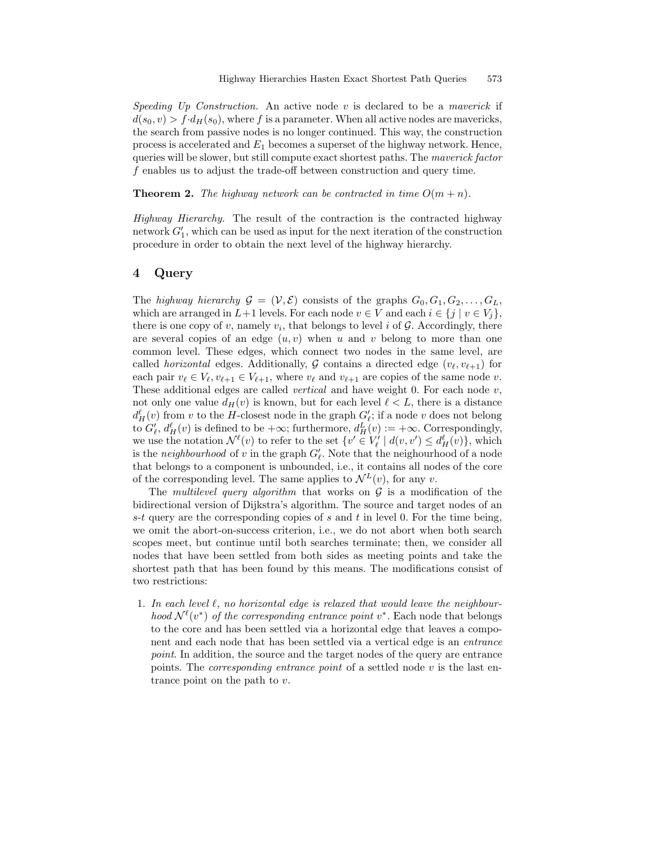*Speeding Up Construction.* An active node v is declared to be a *maverick* if  $d(s_0, v) > f \cdot d_H(s_0)$ , where f is a parameter. When all active nodes are mavericks, the search from passive nodes is no longer continued. This way, the construction process is accelerated and  $E_1$  becomes a superset of the highway network. Hence, queries will be slower, but still compute exact shortest paths. The *maverick factor* f enables us to adjust the trade-off between construction and query time.

**Theorem 2.** *The highway network can be contracted in time*  $O(m + n)$ *.* 

*Highway Hierarchy.* The result of the contraction is the contracted highway network  $G'_{1}$ , which can be used as input for the next iteration of the construction procedure in order to obtain the next level of the highway hierarchy.

## <span id="page-5-0"></span>**4 Query**

The *highway hierarchy*  $\mathcal{G} = (\mathcal{V}, \mathcal{E})$  consists of the graphs  $G_0, G_1, G_2, \ldots, G_L$ , which are arranged in  $L+1$  levels. For each node  $v \in V$  and each  $i \in \{j \mid v \in V_j\},$ there is one copy of v, namely  $v_i$ , that belongs to level i of  $\mathcal G$ . Accordingly, there are several copies of an edge  $(u, v)$  when u and v belong to more than one common level. These edges, which connect two nodes in the same level, are called *horizontal* edges. Additionally, G contains a directed edge  $(v_{\ell}, v_{\ell+1})$  for each pair  $v_{\ell} \in V_{\ell}, v_{\ell+1} \in V_{\ell+1}$ , where  $v_{\ell}$  and  $v_{\ell+1}$  are copies of the same node  $v$ . These additional edges are called *vertical* and have weight 0. For each node v, not only one value  $\tilde{d}_H(v)$  is known, but for each level  $\ell < L$ , there is a distance  $d_H^{\ell}(v)$  from v to the H-closest node in the graph  $G'_{\ell}$ ; if a node v does not belong to  $G'_{\ell}$ ,  $d'_{H}(v)$  is defined to be  $+\infty$ ; furthermore,  $d'_{H}(v) := +\infty$ . Correspondingly, we use the notation  $\mathcal{N}^{\ell}(v)$  to refer to the set  $\{v' \in V'_{\ell} \mid d(v, v') \leq d_H^{\ell}(v)\}\,$ , which is the *neighbourhood* of v in the graph  $G'_{\ell}$ . Note that the neighourhood of a node that belongs to a component is unbounded, i.e., it contains all nodes of the core of the corresponding level. The same applies to  $\mathcal{N}^L(v)$ , for any v.

The *multilevel query algorithm* that works on  $\mathcal G$  is a modification of the bidirectional version of Dijkstra's algorithm. The source and target nodes of an  $s-t$  query are the corresponding copies of s and t in level 0. For the time being, we omit the abort-on-success criterion, i.e., we do not abort when both search scopes meet, but continue until both searches terminate; then, we consider all nodes that have been settled from both sides as meeting points and take the shortest path that has been found by this means. The modifications consist of two restrictions:

1. In each level  $\ell$ , no horizontal edge is relaxed that would leave the neighbour*hood*  $\mathcal{N}^{\ell}(v^*)$  *of the corresponding entrance point*  $v^*$ . Each node that belongs to the core and has been settled via a horizontal edge that leaves a component and each node that has been settled via a vertical edge is an *entrance point*. In addition, the source and the target nodes of the query are entrance points. The *corresponding entrance point* of a settled node v is the last entrance point on the path to v.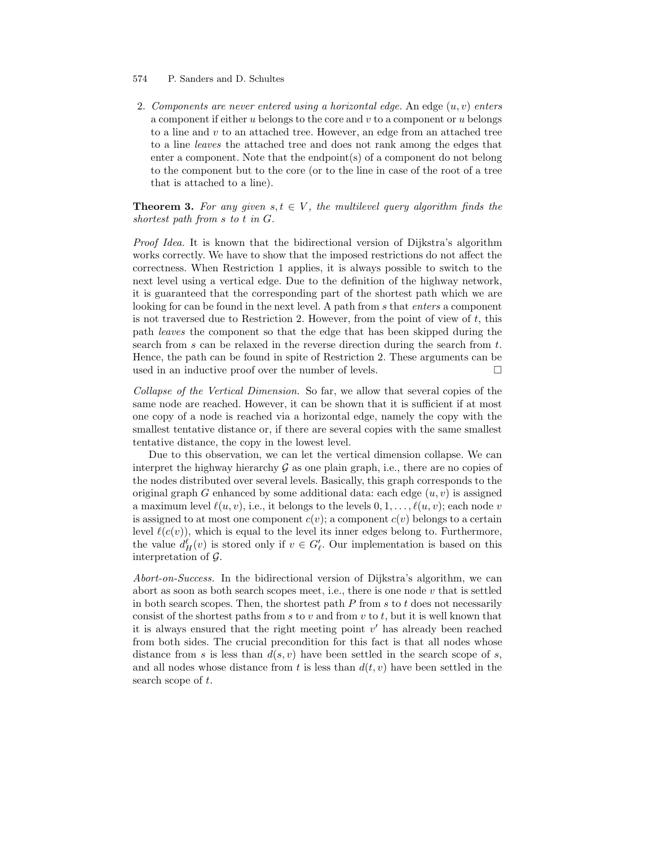2. *Components are never entered using a horizontal edge.* An edge (u, v) *enters* a component if either  $u$  belongs to the core and  $v$  to a component or  $u$  belongs to a line and v to an attached tree. However, an edge from an attached tree to a line *leaves* the attached tree and does not rank among the edges that enter a component. Note that the endpoint(s) of a component do not belong to the component but to the core (or to the line in case of the root of a tree that is attached to a line).

## **Theorem 3.** For any given  $s, t \in V$ , the multilevel query algorithm finds the *shortest path from* s *to* t *in* G*.*

*Proof Idea.* It is known that the bidirectional version of Dijkstra's algorithm works correctly. We have to show that the imposed restrictions do not affect the correctness. When Restriction 1 applies, it is always possible to switch to the next level using a vertical edge. Due to the definition of the highway network, it is guaranteed that the corresponding part of the shortest path which we are looking for can be found in the next level. A path from s that *enters* a component is not traversed due to Restriction 2. However, from the point of view of  $t$ , this path *leaves* the component so that the edge that has been skipped during the search from  $s$  can be relaxed in the reverse direction during the search from  $t$ . Hence, the path can be found in spite of Restriction 2. These arguments can be used in an inductive proof over the number of levels.  $\Box$ 

*Collapse of the Vertical Dimension.* So far, we allow that several copies of the same node are reached. However, it can be shown that it is sufficient if at most one copy of a node is reached via a horizontal edge, namely the copy with the smallest tentative distance or, if there are several copies with the same smallest tentative distance, the copy in the lowest level.

Due to this observation, we can let the vertical dimension collapse. We can interpret the highway hierarchy  $\mathcal G$  as one plain graph, i.e., there are no copies of the nodes distributed over several levels. Basically, this graph corresponds to the original graph G enhanced by some additional data: each edge  $(u, v)$  is assigned a maximum level  $\ell(u, v)$ , i.e., it belongs to the levels  $0, 1, \ldots, \ell(u, v)$ ; each node v is assigned to at most one component  $c(v)$ ; a component  $c(v)$  belongs to a certain level  $\ell(c(v))$ , which is equal to the level its inner edges belong to. Furthermore, the value  $d_H^{\ell}(v)$  is stored only if  $v \in G'_{\ell}$ . Our implementation is based on this interpretation of  $\mathcal{G}$ .

*Abort-on-Success.* In the bidirectional version of Dijkstra's algorithm, we can abort as soon as both search scopes meet, i.e., there is one node  $v$  that is settled in both search scopes. Then, the shortest path  $P$  from  $s$  to  $t$  does not necessarily consist of the shortest paths from  $s$  to  $v$  and from  $v$  to  $t$ , but it is well known that it is always ensured that the right meeting point  $v'$  has already been reached from both sides. The crucial precondition for this fact is that all nodes whose distance from s is less than  $d(s, v)$  have been settled in the search scope of s, and all nodes whose distance from t is less than  $d(t, v)$  have been settled in the search scope of  $t$ .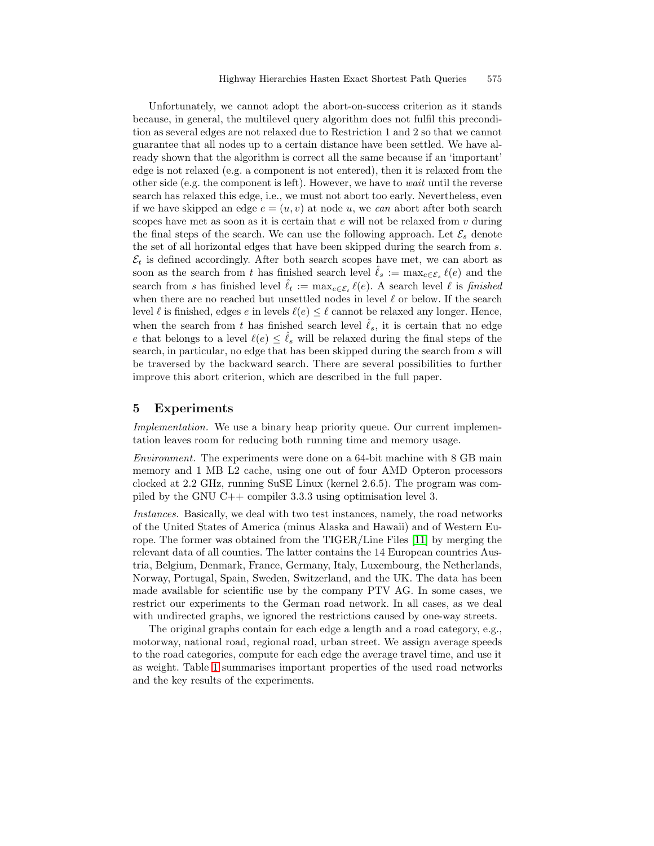Unfortunately, we cannot adopt the abort-on-success criterion as it stands because, in general, the multilevel query algorithm does not fulfil this precondition as several edges are not relaxed due to Restriction 1 and 2 so that we cannot guarantee that all nodes up to a certain distance have been settled. We have already shown that the algorithm is correct all the same because if an 'important' edge is not relaxed (e.g. a component is not entered), then it is relaxed from the other side (e.g. the component is left). However, we have to *wait* until the reverse search has relaxed this edge, i.e., we must not abort too early. Nevertheless, even if we have skipped an edge  $e = (u, v)$  at node u, we *can* abort after both search scopes have met as soon as it is certain that  $e$  will not be relaxed from  $v$  during the final steps of the search. We can use the following approach. Let  $\mathcal{E}_s$  denote the set of all horizontal edges that have been skipped during the search from s.  $\mathcal{E}_t$  is defined accordingly. After both search scopes have met, we can abort as soon as the search from t has finished search level  $\hat{\ell}_s := \max_{e \in \mathcal{E}_s} \ell(e)$  and the search from s has finished level  $\hat{\ell}_t := \max_{e \in \mathcal{E}_t} \ell(e)$ . A search level  $\ell$  is *finished* when there are no reached but unsettled nodes in level  $\ell$  or below. If the search level  $\ell$  is finished, edges  $e$  in levels  $\ell(e) \leq \ell$  cannot be relaxed any longer. Hence, when the search from t has finished search level  $\hat{\ell}_s$ , it is certain that no edge e that belongs to a level  $\ell(e) \leq \hat{\ell}_s$  will be relaxed during the final steps of the search, in particular, no edge that has been skipped during the search from s will be traversed by the backward search. There are several possibilities to further improve this abort criterion, which are described in the full paper.

#### <span id="page-7-0"></span>**5 Experiments**

*Implementation*. We use a binary heap priority queue. Our current implementation leaves room for reducing both running time and memory usage.

*Environment.* The experiments were done on a 64-bit machine with 8 GB main memory and 1 MB L2 cache, using one out of four AMD Opteron processors clocked at 2.2 GHz, running SuSE Linux (kernel 2.6.5). The program was compiled by the GNU  $C++$  compiler 3.3.3 using optimisation level 3.

*Instances.* Basically, we deal with two test instances, namely, the road networks of the United States of America (minus Alaska and Hawaii) and of Western Europe. The former was obtained from the TIGER/Line Files [\[11\]](#page-11-11) by merging the relevant data of all counties. The latter contains the 14 European countries Austria, Belgium, Denmark, France, Germany, Italy, Luxembourg, the Netherlands, Norway, Portugal, Spain, Sweden, Switzerland, and the UK. The data has been made available for scientific use by the company PTV AG. In some cases, we restrict our experiments to the German road network. In all cases, as we deal with undirected graphs, we ignored the restrictions caused by one-way streets.

The original graphs contain for each edge a length and a road category, e.g., motorway, national road, regional road, urban street. We assign average speeds to the road categories, compute for each edge the average travel time, and use it as weight. Table [1](#page-8-0) summarises important properties of the used road networks and the key results of the experiments.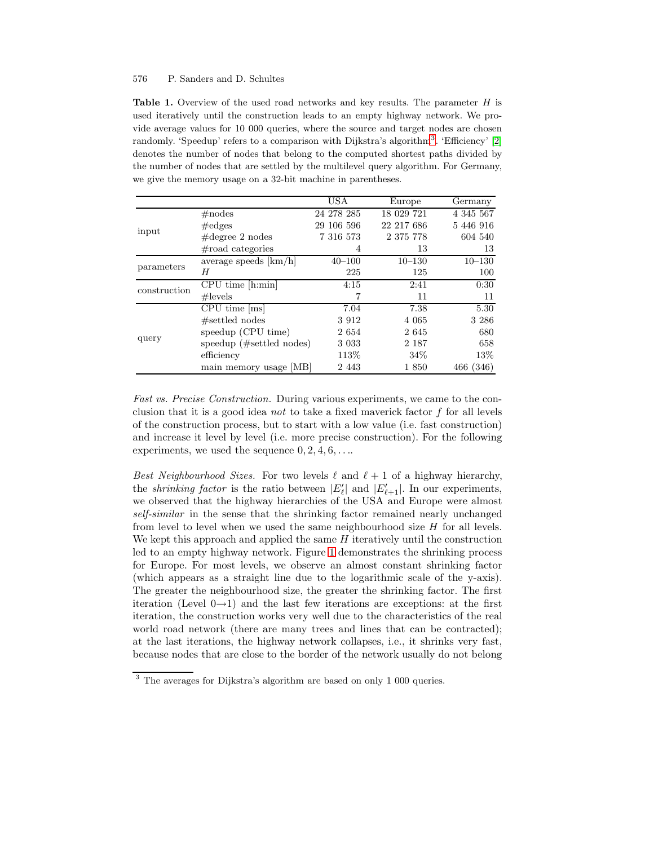<span id="page-8-0"></span>**Table 1.** Overview of the used road networks and key results. The parameter H is used iteratively until the construction leads to an empty highway network. We provide average values for 10 000 queries, where the source and target nodes are chosen randomly. 'Speedup' refers to a comparison with Dijkstra's algorithm<sup>[3](#page-8-1)</sup>. 'Efficiency' [\[2\]](#page-11-2) denotes the number of nodes that belong to the computed shortest paths divided by the number of nodes that are settled by the multilevel query algorithm. For Germany, we give the memory usage on a 32-bit machine in parentheses.

|              |                            | <b>USA</b> | Europe     | Germany      |
|--------------|----------------------------|------------|------------|--------------|
| input        | $\#$ nodes                 | 24 278 285 | 18 029 721 | 4 345 567    |
|              | $\#edges$                  | 29 106 596 | 22 217 686 | 5 446 916    |
|              | $\#degree\ 2$ nodes        | 7 316 573  | 2 375 778  | 604 540      |
|              | #road categories           | 4          | 13         | 13           |
| parameters   | average speeds $[km/h]$    | $40 - 100$ | $10 - 130$ | $10 - 130$   |
|              | Η                          | 225        | 125        | 100          |
| construction | CPU time [h:min]           | 4:15       | 2:41       | 0:30         |
|              | $\#levels$                 |            | 11         | 11           |
| query        | CPU time [ms]              | 7.04       | 7.38       | 5.30         |
|              | #settled nodes             | 3912       | 4 0 6 5    | 3 2 8 6      |
|              | speedup (CPU time)         | 2654       | 2645       | 680          |
|              | speedup $(\#setled nodes)$ | 3 0 3 3    | 2 1 8 7    | 658          |
|              | efficiency                 | 113\%      | 34\%       | 13\%         |
|              | main memory usage [MB]     | 2 4 4 3    | 1850       | (346)<br>466 |

*Fast vs. Precise Construction.* During various experiments, we came to the conclusion that it is a good idea *not* to take a fixed maverick factor f for all levels of the construction process, but to start with a low value (i.e. fast construction) and increase it level by level (i.e. more precise construction). For the following experiments, we used the sequence  $0, 2, 4, 6, \ldots$ 

Best Neighbourhood Sizes. For two levels  $\ell$  and  $\ell + 1$  of a highway hierarchy, the *shrinking factor* is the ratio between  $|E'_{\ell}|$  and  $|E'_{\ell+1}|$ . In our experiments, we observed that the highway hierarchies of the USA and Europe were almost *self-similar* in the sense that the shrinking factor remained nearly unchanged from level to level when we used the same neighbourhood size  $H$  for all levels. We kept this approach and applied the same  $H$  iteratively until the construction led to an empty highway network. Figure [1](#page-9-0) demonstrates the shrinking process for Europe. For most levels, we observe an almost constant shrinking factor (which appears as a straight line due to the logarithmic scale of the y-axis). The greater the neighbourhood size, the greater the shrinking factor. The first iteration (Level  $0\rightarrow 1$ ) and the last few iterations are exceptions: at the first iteration, the construction works very well due to the characteristics of the real world road network (there are many trees and lines that can be contracted); at the last iterations, the highway network collapses, i.e., it shrinks very fast, because nodes that are close to the border of the network usually do not belong

<span id="page-8-1"></span><sup>&</sup>lt;sup>3</sup> The averages for Dijkstra's algorithm are based on only 1 000 queries.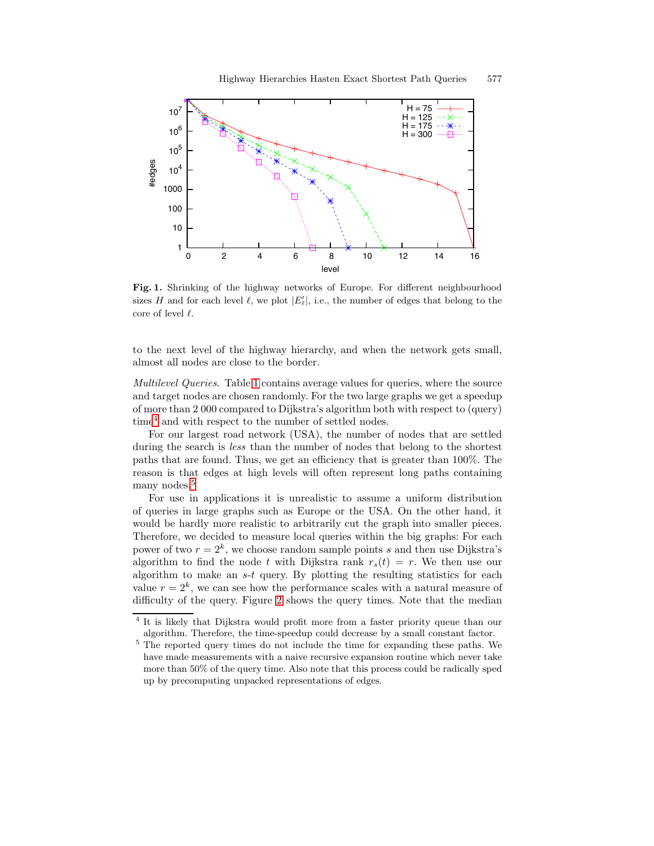

<span id="page-9-0"></span>**Fig. 1.** Shrinking of the highway networks of Europe. For different neighbourhood sizes H and for each level  $\ell$ , we plot  $|E'_{\ell}|$ , i.e., the number of edges that belong to the core of level  $\ell$ .

to the next level of the highway hierarchy, and when the network gets small, almost all nodes are close to the border.

*Multilevel Queries.* Table [1](#page-8-0) contains average values for queries, where the source and target nodes are chosen randomly. For the two large graphs we get a speedup of more than 2 000 compared to Dijkstra's algorithm both with respect to (query) time[4](#page-9-1) and with respect to the number of settled nodes.

For our largest road network (USA), the number of nodes that are settled during the search is *less* than the number of nodes that belong to the shortest paths that are found. Thus, we get an efficiency that is greater than 100%. The reason is that edges at high levels will often represent long paths containing many nodes.<sup>[5](#page-9-2)</sup>

For use in applications it is unrealistic to assume a uniform distribution of queries in large graphs such as Europe or the USA. On the other hand, it would be hardly more realistic to arbitrarily cut the graph into smaller pieces. Therefore, we decided to measure local queries within the big graphs: For each power of two  $r = 2^k$ , we choose random sample points s and then use Dijkstra's algorithm to find the node t with Dijkstra rank  $r_s(t) = r$ . We then use our algorithm to make an  $s-t$  query. By plotting the resulting statistics for each value  $r = 2<sup>k</sup>$ , we can see how the performance scales with a natural measure of difficulty of the query. Figure [2](#page-10-1) shows the query times. Note that the median

<span id="page-9-1"></span><sup>&</sup>lt;sup>4</sup> It is likely that Dijkstra would profit more from a faster priority queue than our algorithm. Therefore, the time-speedup could decrease by a small constant factor.

<span id="page-9-2"></span><sup>5</sup> The reported query times do not include the time for expanding these paths. We have made measurements with a naive recursive expansion routine which never take more than 50% of the query time. Also note that this process could be radically sped up by precomputing unpacked representations of edges.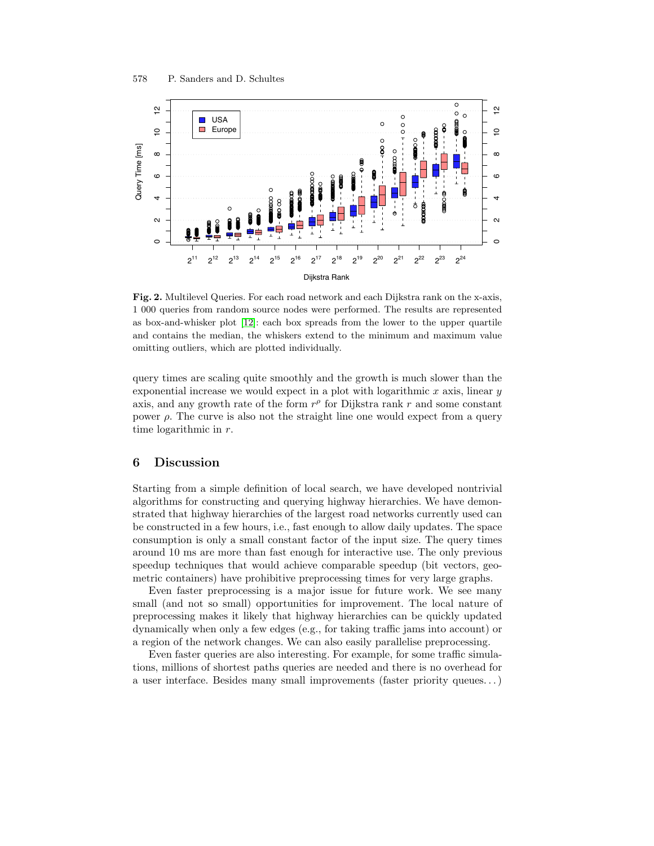

<span id="page-10-1"></span>Fig. 2. Multilevel Queries. For each road network and each Dijkstra rank on the x-axis, 1 000 queries from random source nodes were performed. The results are represented as box-and-whisker plot [\[12\]](#page-11-12): each box spreads from the lower to the upper quartile and contains the median, the whiskers extend to the minimum and maximum value omitting outliers, which are plotted individually.

query times are scaling quite smoothly and the growth is much slower than the exponential increase we would expect in a plot with logarithmic  $x$  axis, linear  $y$ axis, and any growth rate of the form  $r^{\rho}$  for Dijkstra rank r and some constant power  $\rho$ . The curve is also not the straight line one would expect from a query time logarithmic in  $r$ .

#### <span id="page-10-0"></span>**6 Discussion**

Starting from a simple definition of local search, we have developed nontrivial algorithms for constructing and querying highway hierarchies. We have demonstrated that highway hierarchies of the largest road networks currently used can be constructed in a few hours, i.e., fast enough to allow daily updates. The space consumption is only a small constant factor of the input size. The query times around 10 ms are more than fast enough for interactive use. The only previous speedup techniques that would achieve comparable speedup (bit vectors, geometric containers) have prohibitive preprocessing times for very large graphs.

Even faster preprocessing is a major issue for future work. We see many small (and not so small) opportunities for improvement. The local nature of preprocessing makes it likely that highway hierarchies can be quickly updated dynamically when only a few edges (e.g., for taking traffic jams into account) or a region of the network changes. We can also easily parallelise preprocessing.

Even faster queries are also interesting. For example, for some traffic simulations, millions of shortest paths queries are needed and there is no overhead for a user interface. Besides many small improvements (faster priority queues. . . )